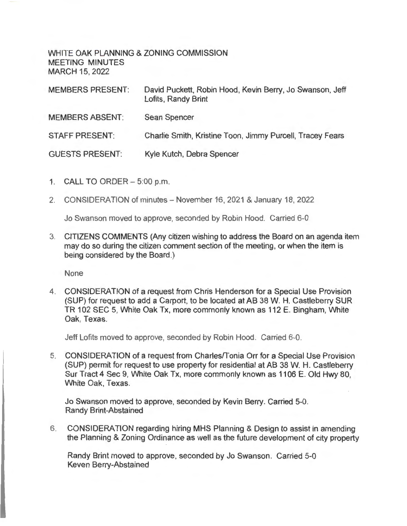WHITE OAK PLANNING & ZONING COMMISSION MEETING MINUTES MARCH 15, 2022

| <b>MEMBERS PRESENT:</b> | David Puckett, Robin Hood, Kevin Berry, Jo Swanson, Jeff<br>Lofits, Randy Brint |
|-------------------------|---------------------------------------------------------------------------------|
| <b>MEMBERS ABSENT:</b>  | <b>Sean Spencer</b>                                                             |
| <b>STAFF PRESENT:</b>   | Charlie Smith, Kristine Toon, Jimmy Purcell, Tracey Fears                       |
| <b>GUESTS PRESENT:</b>  | Kyle Kutch, Debra Spencer                                                       |

- 1. CALL TO ORDER 5:00 p.m.
- 2. CONSIDERATION of minutes November 16, 2021 & January 18, 2022

Jo Swanson moved to approve, seconded by Robin Hood. Carried 6-0

3. CITIZENS COMMENTS (Any citizen wishing to address the Board on an agenda item may do so during the citizen comment section of the meeting, or when the item is being considered by the Board.)

None

4. CONSIDERATION of a request from Chris Henderson for a Special Use Provision (SUP) for request to add a Carport, to be located at AB 38 W. H. Castleberry SUR TR 102 SEC 5, White Oak Tx, more commonly known as 112 E. Bingham, White Oak, Texas.

Jeff Lofits moved to approve, seconded by Robin Hood. Carried 6-0.

5. CONSIDERATION of a request from Charles/Tonia Orr for a Special Use Provision (SUP) permit for request to use property for residential at AB 38 W. H. Castleberry Sur Tract 4 Sec 9, White Oak Tx, more commonly known as 1106 E. Old Hwy 80, White Oak, Texas.

Jo Swanson moved to approve, seconded by Kevin Berry. Carried 5-0. Randy Brint-Abstained

6. CONSIDERATION regarding hiring MHS Planning & Design to assist in amending the Planning & Zoning Ordinance as well as the future development of city property

Randy Brint moved to approve, seconded by Jo Swanson. Carried 5-0 Keven Berry-Abstained